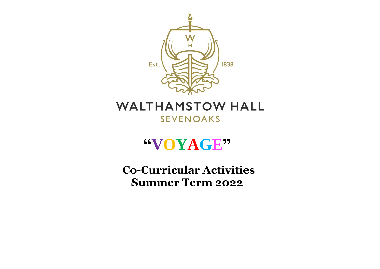

## **WALTHAMSTOW HALL SEVENOAKS**

## **"VOYAGE"**

**Co-Curricular Activities Summer Term 2022**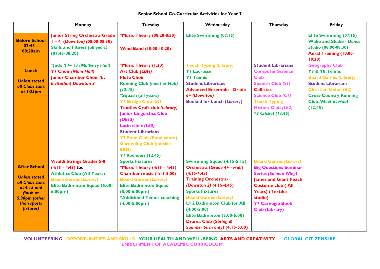|                                                                                                                                         | Monday                                                                                                                                                                                     | <b>Tuesday</b>                                                                                                                                                                                                                                                                                                                                                                                                                    | Wednesday                                                                                                                                                                                                                                                                                                                                                | Thursday                                                                                                                                                                                                                                          | Friday                                                                                                                                                                                                      |
|-----------------------------------------------------------------------------------------------------------------------------------------|--------------------------------------------------------------------------------------------------------------------------------------------------------------------------------------------|-----------------------------------------------------------------------------------------------------------------------------------------------------------------------------------------------------------------------------------------------------------------------------------------------------------------------------------------------------------------------------------------------------------------------------------|----------------------------------------------------------------------------------------------------------------------------------------------------------------------------------------------------------------------------------------------------------------------------------------------------------------------------------------------------------|---------------------------------------------------------------------------------------------------------------------------------------------------------------------------------------------------------------------------------------------------|-------------------------------------------------------------------------------------------------------------------------------------------------------------------------------------------------------------|
| <b>Before School</b><br>$07:45 -$<br>08:20am                                                                                            | <b>Junior String Orchestra Grade</b><br>$1 - 4$ (Downton) (08:00-08:30)<br><b>Skills and Fitness (all years)</b><br>$(07:45-08:20)$                                                        | <b>*Music Theory (08:20-8:50)</b><br><b>Wind Band (10:00-10:20)</b>                                                                                                                                                                                                                                                                                                                                                               | Elite Swimming (07:15)                                                                                                                                                                                                                                                                                                                                   |                                                                                                                                                                                                                                                   | Elite Swimming (07:15)<br><b>Wake and Shake - Dance</b><br>Studio (08:00-08:30)<br><b>Aural Training (10:00-</b><br>10:20                                                                                   |
| Lunch<br><b>Unless stated</b><br>all Clubs start<br>at $1:25$ pm                                                                        | *Judo Y7- 13 (Mulberry Hall)<br><b>Y7 Choir (Main Hall)</b><br><b>Junior Chamber Choir (by</b><br>invitation) Downton 3                                                                    | *Music Theory (1:30)<br><b>Art Club (EBH)</b><br><b>Flute Choir</b><br><b>Running Club (meet at Hub)</b><br>(12.45)<br><i>*Squash (all years)</i><br><b>Y7 Bridge Club (S4)</b><br><b>Textiles Craft club (Library)</b><br><b>Junior Linguistics Club</b><br>(UE13)<br><b>Latin clinic (LE3)</b><br><b>Student Librarians</b><br><b>Y7 Food Club (Food room)</b><br><b>Gardening Club (outside</b><br>EBH)<br>Y7 Rounders (12.45) | <b>Touch Typing (Library)</b><br><b>Y7 Lacrosse</b><br><b>Y7 Tennis</b><br><b>Student Librarians</b><br><b>Advanced Ensemble - Grade</b><br>6+ (Downton)<br><b>Booked for Lunch (Library)</b>                                                                                                                                                            | <b>Student Librarians</b><br><b>Computer Science</b><br><b>Club</b><br><b>Spanish Club (SI)</b><br><b>Cellistas</b><br><b>Science Club (CI)</b><br><b>Touch Typing</b><br><b>History Club (LE2)</b><br><b>Y7 Cricket (12.45)</b>                  | <b>Geography Club</b><br>Y7 & Y8 Tennis<br><b>Board Games (Library)</b><br><b>Student Librarians</b><br><b>Christian Union (S2)</b><br><b>Cross-Country Running</b><br><b>Club (Meet at Hub)</b><br>(12.45) |
| <b>After School</b><br><b>Unless stated</b><br>all Clubs start<br>at 4:15 and<br>finish at<br>5:30pm (other<br>than sports<br>fixtures) | <b>Vivaldi Strings Grades 5-8</b><br>$(4:15 - 4:45)$ tbc<br><b>Athletics Club (All Years)</b><br><b>Board Games (Library)</b><br><b>Elite Badminton Squad (5.00-</b><br>6.00 <sub>pm</sub> | <b>Sports Fixtures</b><br>*Music Theory (4:15 - 4:45)<br>Chamber music (4:15-5:00)<br><b>Board Games (Library)</b><br><b>Elite Badminton Squad</b><br>$(5.00-6.00pm)$<br>*Additional Tennis coaching<br>$(4.00 - 5.00pm)$                                                                                                                                                                                                         | Swimming Squad (4:15-5:15)<br>Orchestra (Grade 4+ - Hall)<br>$(4:15-4:45)$<br><b>Training Orchestra-</b><br>(Downton 2) (4:15-4:45)<br><b>Sports Fixtures</b><br><b>Board Games (Library)</b><br><b>U12 Badminton Club for All</b><br>$(4.00 - 5.00)$<br>Elite Badminton (5.00-6.00)<br><b>Drama Club (Spring &amp;</b><br>Summer term only) (4.15-5.00) | <b>Board Games (Library)</b><br><b>Big Questions Seminar</b><br><b>Series (Salmon Wing)</b><br><b>James and Giant Peach</b><br><b>Costume club (All</b><br><b>Years) (Textiles</b><br>studio)<br><b>Y7 Carnegie Book</b><br><b>Club (Library)</b> |                                                                                                                                                                                                             |

**VOLUNTEERING OPPORTUNITIES AND SKILLS YOUR HEALTH AND WELL-BEING ARTS AND CREATIVITY GLOBAL CITIZENSHIP ENRICHMENT OF ACADEMIC CURRICULUM**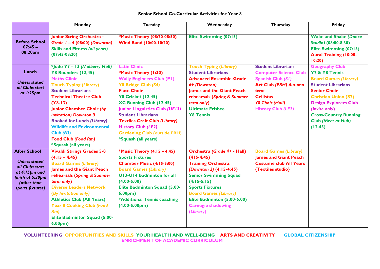|                                                                                                                                        | Monday                                                                                                                                                                                                                                                                                                                                                                                                | Tuesday                                                                                                                                                                                                                                                                                                                                                                                                     | Wednesday                                                                                                                                                                                                                                                                                      | <b>Thursday</b>                                                                                                                                                                                          | Friday                                                                                                                                                                                                                                                                              |
|----------------------------------------------------------------------------------------------------------------------------------------|-------------------------------------------------------------------------------------------------------------------------------------------------------------------------------------------------------------------------------------------------------------------------------------------------------------------------------------------------------------------------------------------------------|-------------------------------------------------------------------------------------------------------------------------------------------------------------------------------------------------------------------------------------------------------------------------------------------------------------------------------------------------------------------------------------------------------------|------------------------------------------------------------------------------------------------------------------------------------------------------------------------------------------------------------------------------------------------------------------------------------------------|----------------------------------------------------------------------------------------------------------------------------------------------------------------------------------------------------------|-------------------------------------------------------------------------------------------------------------------------------------------------------------------------------------------------------------------------------------------------------------------------------------|
| <b>Before School</b><br>$07:45 -$<br>08:20am                                                                                           | <b>Junior String Orchestra -</b><br>Grade $I - 4$ (08:00) (Downton)<br><b>Skills and Fitness (all years)</b><br>$(07:45-08:20)$                                                                                                                                                                                                                                                                       | *Music Theory (08:20-08:50)<br><b>Wind Band (10:00-10:20)</b>                                                                                                                                                                                                                                                                                                                                               | Elite Swimming (07:15)                                                                                                                                                                                                                                                                         |                                                                                                                                                                                                          | <b>Wake and Shake (Dance</b><br>Studio) (08:00-8.30)<br>Elite Swimming (07:15)<br><b>Aural Training (10:00-</b><br>10:20                                                                                                                                                            |
| Lunch<br><b>Unless stated</b><br>all Clubs start<br>at $1:25$ pm                                                                       | *Judo Y7 - 13 (Mulberry Hall)<br>Y8 Rounders (12,45)<br><b>Maths Clinic</b><br><b>Touch Typing (Library)</b><br><b>Student Librarians</b><br><b>Technical Theatre Club</b><br>$(Y8-13)$<br><b>Junior Chamber Choir (by</b><br>invitation) Downton 3<br><b>Booked for Lunch (Library)</b><br><b>Wildlife and Environmental</b><br>Club(B3)<br><b>Food Club (Food Rm)</b><br><i>*Squash (all years)</i> | <b>Latin Clinic</b><br>*Music Theory (1:30)<br><b>Wally Engineers Club (P1)</b><br>Y8 Bridge Club (S4)<br><b>Flute Choir</b><br><b>Y8 Cricket (12.45)</b><br><b>XC Running Club (12.45)</b><br><b>Junior Linguistics Club (UE13)</b><br><b>Student Librarians</b><br><b>Textiles Craft Club (Library)</b><br><b>History Club (LE2)</b><br><b>Gardening Club (outside EBH)</b><br><i>*Squash (all years)</i> | <b>Touch Typing (Library)</b><br><b>Student Librarians</b><br><b>Advanced Ensemble-Grade</b><br>6+ (Downton)<br><b>James and the Giant Peach</b><br>rehearsals (Spring & Summer<br>term only)<br><b>Ultimate Frisbee</b><br><b>Y8 Tennis</b>                                                   | <b>Student Librarians</b><br><b>Computer Science Club</b><br><b>Spanish Club (S1)</b><br><b>Art Club (EBH) Autumn</b><br>term<br><b>Cellistas</b><br><b>Y8 Choir (Hall)</b><br><b>History Club (LE2)</b> | <b>Geography Club</b><br>Y7 & Y8 Tennis<br><b>Board Games (Library)</b><br><b>Student Librarians</b><br><b>Senior Choir</b><br><b>Christian Union (S2)</b><br><b>Design Explorers Club</b><br>(Invite only)<br><b>Cross-Country Running</b><br><b>Club (Meet at Hub)</b><br>(12.45) |
| <b>After School</b><br><b>Unless stated</b><br>all Clubs start<br>at 4:15pm and<br>finish at 5:30pm<br>(other than<br>sports fixtures) | <b>Vivaldi Strings Grades 5-8</b><br>$(4:15 - 4:45)$<br><b>Board Games (Library)</b><br><b>James and the Giant Peach</b><br>rehearsals (Spring & Summer<br>term only)<br><b>Diverse Leaders Network</b><br>(By Invitation only)<br><b>Athletics Club (All Years)</b><br><b>Year 8 Cooking Club (Food</b><br>Rm)<br><b>Elite Badminton Squad (5.00-</b><br>6.00 <sub>pm</sub>                          | *Music Theory (4:15 - 4:45)<br><b>Sports Fixtures</b><br>Chamber Music (4:15-5:00)<br><b>Board Games (Library)</b><br><b>U13-U14 Badminton for all</b><br>$(4.00 - 5.00)$<br><b>Elite Badminton Squad (5.00-</b><br>6.00 <sub>pm</sub><br>*Additional Tennis coaching<br>$(4.00 - 5.00pm)$                                                                                                                  | <b>Orchestra (Grade 4+ - Hall)</b><br>$(415-4:45)$<br><b>Training Orchestra</b><br>(Downton 2) (4:15-4:45)<br><b>Senior Swimming Squad</b><br>$(4:15-5:15)$<br><b>Sports Fixtures</b><br><b>Board Games (Library)</b><br>Elite Badminton (5.00-6.00)<br><b>Carnegie shadowing</b><br>(Library) | <b>Board Games (Library)</b><br><b>James and Giant Peach</b><br><b>Costume club All Years</b><br>(Textiles studio)                                                                                       |                                                                                                                                                                                                                                                                                     |

**VOLUNTEERING OPPORTUNITIES AND SKILLS YOUR HEALTH AND WELL-BEING ARTS AND CREATIVITY GLOBAL CITIZENSHIP ENRICHMENT OF ACADEMIC CURRICULUM**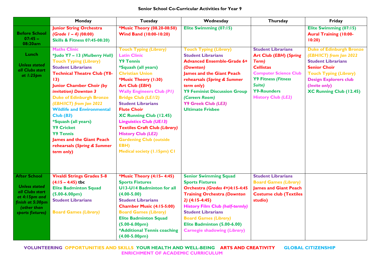|                                                                                                                                        | Monday                                                                                                                                                                                                                                                                                                                                                                                                                                                                                             | <b>Tuesday</b>                                                                                                                                                                                                                                                                                                                                                                                                                                                                                              | Wednesday                                                                                                                                                                                                                                                                                                                       | Thursday                                                                                                                                                                                                           | Friday                                                                                                                                                                                                                             |
|----------------------------------------------------------------------------------------------------------------------------------------|----------------------------------------------------------------------------------------------------------------------------------------------------------------------------------------------------------------------------------------------------------------------------------------------------------------------------------------------------------------------------------------------------------------------------------------------------------------------------------------------------|-------------------------------------------------------------------------------------------------------------------------------------------------------------------------------------------------------------------------------------------------------------------------------------------------------------------------------------------------------------------------------------------------------------------------------------------------------------------------------------------------------------|---------------------------------------------------------------------------------------------------------------------------------------------------------------------------------------------------------------------------------------------------------------------------------------------------------------------------------|--------------------------------------------------------------------------------------------------------------------------------------------------------------------------------------------------------------------|------------------------------------------------------------------------------------------------------------------------------------------------------------------------------------------------------------------------------------|
| <b>Before School</b><br>$07:45 -$<br>08:20am                                                                                           | <b>Junior String Orchestra</b><br>$(Grade I - 4) (08:00)$<br><b>Skills &amp; Fitness 07:45-08:20)</b>                                                                                                                                                                                                                                                                                                                                                                                              | *Music Theory (08.20-08:50)<br><b>Wind Band (10:00-10:20)</b>                                                                                                                                                                                                                                                                                                                                                                                                                                               | Elite Swimming (07:15)                                                                                                                                                                                                                                                                                                          |                                                                                                                                                                                                                    | Elite Swimming (07:15)<br><b>Aural Training (10:00-</b><br>10:20                                                                                                                                                                   |
| <b>Lunch</b><br><b>Unless stated</b><br>all Clubs start<br>at $1:25$ pm                                                                | <b>Maths Clinic</b><br>*Judo Y7 - 13 (Mulberry Hall)<br><b>Touch Typing (Library)</b><br><b>Student Librarians</b><br><b>Technical Theatre Club (Y8-</b><br>13)<br><b>Junior Chamber Choir (by</b><br>invitation) Downton 3<br><b>Duke of Edinburgh Bronze</b><br>(EBH/ICT) from Jan 2022<br><b>Wildlife and Environmental</b><br>Club(B3)<br><i>*Squash (all years)</i><br><b>Y9 Cricket</b><br><b>Y9 Tennis</b><br><b>James and the Giant Peach</b><br>rehearsals (Spring & Summer<br>term only) | <b>Touch Typing (Library)</b><br><b>Latin Clinic</b><br><b>Y9 Tennis</b><br>*Squash (all years)<br><b>Christian Union</b><br>*Music Theory (1:30)<br><b>Art Club (EBH)</b><br><b>Wally Engineers Club (PI)</b><br><b>Bridge Club (LE1/2)</b><br><b>Student Librarians</b><br><b>Flute Choir</b><br>XC Running Club (12.45)<br><b>Linguistics Club (UE13)</b><br><b>Textiles Craft Club (Library)</b><br><b>History Club (LE2)</b><br><b>Gardening Club (outside)</b><br>EBH)<br>Medical society (1.15pm) CI | <b>Touch Typing (Library)</b><br><b>Student Librarians</b><br><b>Advanced Ensemble-Grade 6+</b><br>(Downton)<br><b>James and the Giant Peach</b><br>rehearsals (Spring & Summer<br>term only)<br><b>Y9 Feminist Discussion Group</b><br>(Careers Room)<br>Y9 Greek Club (LE3)<br><b>Ultimate Frisbee</b>                        | <b>Student Librarians</b><br><b>Art Club (EBH) (Spring</b><br>Term)<br><b>Cellistas</b><br><b>Computer Science Club</b><br><b>Y9 Fitness (Fitness</b><br>Suite)<br><b>Y9-Rounders</b><br><b>History Club (LE2)</b> | <b>Duke of Edinburgh Bronze</b><br>(EBHIICT) from Jan 2022<br><b>Student Librarians</b><br><b>Senior Choir</b><br><b>Touch Typing (Library)</b><br><b>Design Explorers club</b><br>(Invite only)<br><b>XC Running Club (12.45)</b> |
| <b>After School</b><br><b>Unless stated</b><br>all Clubs start<br>at 4:15pm and<br>finish at 5:30pm<br>(other than<br>sports fixtures) | <b>Vivaldi Strings Grades 5-8</b><br>$(4:15 - 4:45)$ tbc<br><b>Elite Badminton Squad</b><br>$(5.00-6.00pm)$<br><b>Student Librarians</b><br><b>Board Games (Library)</b>                                                                                                                                                                                                                                                                                                                           | *Music Theory (4:15-4:45)<br><b>Sports Fixtures</b><br><b>UI3-UI4 Badminton for all</b><br>$(4.00 - 5.00)$<br><b>Student Librarians</b><br>Chamber Music (4:15-5:00)<br><b>Board Games (Library)</b><br><b>Elite Badminton Squad</b><br>$(5.00-6.00pm)$<br>*Additional Tennis coaching<br>$(4.00-5.00pm)$                                                                                                                                                                                                   | <b>Senior Swimming Squad</b><br><b>Sports Fixtures</b><br>Orchestra (Grades 4+)4:15-4:45<br><b>Training Orchestra (Downton</b><br>$2)$ (4:15-4:45)<br><b>History Film Club (half-termly)</b><br><b>Student Librarians</b><br><b>Board Games (Library)</b><br>Elite Badminton (5.00-6.00)<br><b>Carnegie shadowing (Library)</b> | <b>Student Librarians</b><br><b>Board Games (Library)</b><br><b>James and Giant Peach</b><br><b>Costume club (Textiles</b><br>studio)                                                                              |                                                                                                                                                                                                                                    |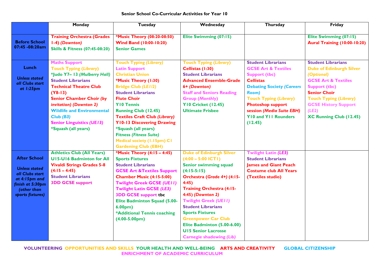## **Senior School Co-Curricular Activities for Year 10**

|                                                                                                                                        | Monday                                                                                                                                                                                                                                                                                                                                     | Tuesday                                                                                                                                                                                                                                                                                                                                                                                                                                          | Wednesday                                                                                                                                                                                                                                                                                                                                                                                                               | Thursday                                                                                                                                                                                                                                                                                         | Friday                                                                                                                                                                                                                                                                 |
|----------------------------------------------------------------------------------------------------------------------------------------|--------------------------------------------------------------------------------------------------------------------------------------------------------------------------------------------------------------------------------------------------------------------------------------------------------------------------------------------|--------------------------------------------------------------------------------------------------------------------------------------------------------------------------------------------------------------------------------------------------------------------------------------------------------------------------------------------------------------------------------------------------------------------------------------------------|-------------------------------------------------------------------------------------------------------------------------------------------------------------------------------------------------------------------------------------------------------------------------------------------------------------------------------------------------------------------------------------------------------------------------|--------------------------------------------------------------------------------------------------------------------------------------------------------------------------------------------------------------------------------------------------------------------------------------------------|------------------------------------------------------------------------------------------------------------------------------------------------------------------------------------------------------------------------------------------------------------------------|
| <b>Before School</b><br>07:45 -08:20am                                                                                                 | <b>Training Orchestra (Grades</b><br>1-4) (Downton)<br><b>Skills &amp; Fitness (07:45-08:20)</b>                                                                                                                                                                                                                                           | *Music Theory (08:20-08:50)<br><b>Wind Band (10:00-10:20)</b><br><b>Senior Games</b>                                                                                                                                                                                                                                                                                                                                                             | Elite Swimming (07:15)                                                                                                                                                                                                                                                                                                                                                                                                  |                                                                                                                                                                                                                                                                                                  | Elite Swimming (07:15)<br><b>Aural Training (10:00-10:20)</b>                                                                                                                                                                                                          |
| Lunch<br><b>Unless stated</b><br>all Clubs start<br>at $1:25$ pm                                                                       | <b>Maths Support</b><br><b>Touch Typing (Library)</b><br>*Judo Y7- 13 (Mulberry Hall)<br><b>Student Librarians</b><br><b>Technical Theatre Club</b><br>$(Y8-13)$<br><b>Senior Chamber Choir (by</b><br>invitation) (Downton 2)<br><b>Wildlife and Environmental</b><br>Club(B3)<br><b>Senior Linguistics (UE13)</b><br>*Squash (all years) | <b>Touch Typing (Library)</b><br><b>Latin Support</b><br><b>Christian Union</b><br>*Music Theory (1:30)<br><b>Bridge Club (LE1/2)</b><br><b>Student Librarians</b><br><b>Flute Choir</b><br><b>YIO Tennis</b><br><b>Running Club (12.45)</b><br><b>Textiles Craft Club (Library)</b><br><b>Y10-13 Discovering Drawing</b><br>*Squash (all years)<br><b>Fitness (Fitness Suite)</b><br>Medical society (1.15pm) C1<br><b>Gardening Club (EBH)</b> | <b>Touch Typing (Library)</b><br>Cellistas (1:30)<br><b>Student Librarians</b><br><b>Advanced Ensemble-Grade</b><br>6+ (Downton)<br><b>Staff and Seniors Reading</b><br><b>Group (Monthly)</b><br><b>Y10 Cricket (12.45)</b><br><b>Ultimate Frisbee</b>                                                                                                                                                                 | <b>Student Librarians</b><br><b>GCSE Art &amp; Textiles</b><br><b>Support (tbc)</b><br><b>Cellistas</b><br><b>Debating Society (Careers</b><br><b>Room</b> )<br><b>Touch Typing (Library)</b><br><b>Photoshop support</b><br>session (Media Suite EBH)<br><b>YIO and YII Rounders</b><br>(12.45) | <b>Student Librarians</b><br><b>Duke of Edinburgh Silver</b><br>(Optional)<br><b>GCSE Art &amp; Textiles</b><br><b>Support (tbc)</b><br><b>Senior Choir</b><br><b>Touch Typing (Library)</b><br><b>GCSE History Support</b><br>(LE2)<br><b>XC Running Club (12.45)</b> |
| <b>After School</b><br><b>Unless stated</b><br>all Clubs start<br>at 4:15pm and<br>finish at 5:30pm<br>(other than<br>sports fixtures) | <b>Athletics Club (All Years)</b><br><b>UI5-UI6 Badminton for All</b><br><b>Vivaldi Strings Grades 5-8</b><br>$(4:15 - 4:45)$<br><b>Student Librarians</b><br><b>3DD GCSE support</b>                                                                                                                                                      | *Music Theory (4:15 - 4:45)<br><b>Sports Fixtures</b><br><b>Student Librarians</b><br><b>GCSE Art &amp; Textiles Support</b><br><b>Chamber Music (4:15-5:00)</b><br><b>Twilight Greek GCSE (UEII)</b><br><b>Twilight Latin GCSE (LE3)</b><br><b>3DD GCSE support tbc</b><br><b>Elite Badminton Squad (5.00-</b><br>6.00 <sub>pm</sub><br>*Additional Tennis coaching<br>$(4.00 - 5.00pm)$                                                        | <b>Duke of Edinburgh Silver</b><br>$(4:00 - 5:00$ ICTI)<br>Senior swimming squad<br>$(4:15-5:15)$<br>Orchestra (Grade 4+) (4:15-<br>4:45)<br><b>Training Orchestra (4:15-</b><br>4:45) (Downton 2)<br><b>Twilight Greek (UEII)</b><br><b>Student Librarians</b><br><b>Sports Fixtures</b><br><b>Greenpower Car Club</b><br>Elite Badminton (5.00-6.00)<br><b>UI5 Senior Lacrosse</b><br><b>Carnegie shadowing (Lib)</b> | <b>Twilight Latin (LE3)</b><br><b>Student Librarians</b><br><b>lames and Giant Peach</b><br><b>Costume club All Years</b><br>(Textiles studio)                                                                                                                                                   |                                                                                                                                                                                                                                                                        |